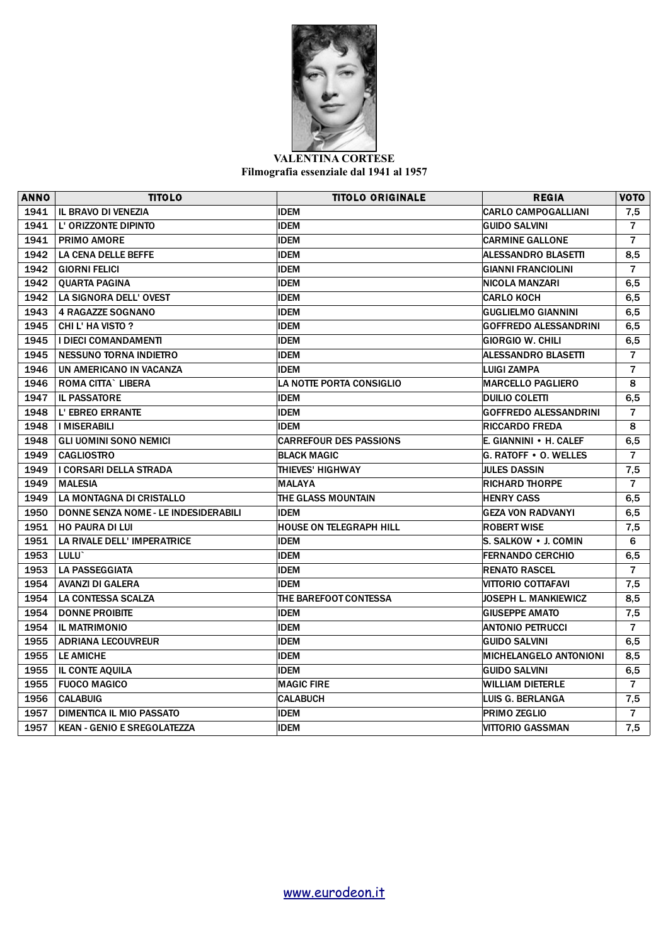

**VALENTINA CORTESE Filmografia essenziale dal 1941 al 1957**

| <b>ANNO</b> | <b>TITOLO</b>                        | <b>TITOLO ORIGINALE</b>         | <b>REGIA</b>                  | <b>VOTO</b>    |
|-------------|--------------------------------------|---------------------------------|-------------------------------|----------------|
| 1941        | <b>IL BRAVO DI VENEZIA</b>           | <b>IDEM</b>                     | <b>CARLO CAMPOGALLIANI</b>    | 7,5            |
| 1941        | L' ORIZZONTE DIPINTO                 | <b>IDEM</b>                     | <b>GUIDO SALVINI</b>          | $\overline{7}$ |
| 1941        | <b>PRIMO AMORE</b>                   | <b>IDEM</b>                     | <b>CARMINE GALLONE</b>        | $\overline{7}$ |
| 1942        | LA CENA DELLE BEFFE                  | <b>IDEM</b>                     | <b>ALESSANDRO BLASETTI</b>    | 8,5            |
| 1942        | <b>GIORNI FELICI</b>                 | <b>IDEM</b>                     | <b>GIANNI FRANCIOLINI</b>     | $\overline{7}$ |
| 1942        | <b>OUARTA PAGINA</b>                 | <b>IDEM</b>                     | NICOLA MANZARI                | 6, 5           |
| 1942        | LA SIGNORA DELL' OVEST               | <b>IDEM</b>                     | <b>CARLO KOCH</b>             | 6,5            |
| 1943        | <b>4 RAGAZZE SOGNANO</b>             | <b>IDEM</b>                     | <b>GUGLIELMO GIANNINI</b>     | 6, 5           |
| 1945        | CHI L' HA VISTO ?                    | <b>IDEM</b>                     | <b>GOFFREDO ALESSANDRINI</b>  | 6, 5           |
| 1945        | <b>I DIECI COMANDAMENTI</b>          | <b>IDEM</b>                     | <b>GIORGIO W. CHILI</b>       | 6,5            |
| 1945        | <b>NESSUNO TORNA INDIETRO</b>        | <b>IDEM</b>                     | <b>ALESSANDRO BLASETTI</b>    | $\overline{7}$ |
| 1946        | UN AMERICANO IN VACANZA              | <b>IDEM</b>                     | <b>LUIGI ZAMPA</b>            | $\overline{7}$ |
| 1946        | <b>ROMA CITTA` LIBERA</b>            | <b>LA NOTTE PORTA CONSIGLIO</b> | <b>MARCELLO PAGLIERO</b>      | 8              |
| 1947        | <b>IL PASSATORE</b>                  | <b>IDEM</b>                     | DUILIO COLETTI                | 6,5            |
| 1948        | L' EBREO ERRANTE                     | <b>IDEM</b>                     | <b>GOFFREDO ALESSANDRINI</b>  | $\overline{7}$ |
| 1948        | <b>I MISERABILI</b>                  | <b>IDEM</b>                     | <b>RICCARDO FREDA</b>         | 8              |
| 1948        | <b>GLI UOMINI SONO NEMICI</b>        | <b>CARREFOUR DES PASSIONS</b>   | E. GIANNINI • H. CALEF        | 6,5            |
| 1949        | <b>CAGLIOSTRO</b>                    | <b>BLACK MAGIC</b>              | <b>G. RATOFF • O. WELLES</b>  | 7              |
| 1949        | I CORSARI DELLA STRADA               | <b>THIEVES' HIGHWAY</b>         | <b>JULES DASSIN</b>           | 7,5            |
| 1949        | <b>MALESIA</b>                       | <b>MALAYA</b>                   | <b>RICHARD THORPE</b>         | $\overline{7}$ |
| 1949        | LA MONTAGNA DI CRISTALLO             | THE GLASS MOUNTAIN              | <b>HENRY CASS</b>             | 6, 5           |
| 1950        | DONNE SENZA NOME - LE INDESIDERABILI | <b>IDEM</b>                     | <b>GEZA VON RADVANYI</b>      | 6,5            |
| 1951        | <b>HO PAURA DI LUI</b>               | <b>HOUSE ON TELEGRAPH HILL</b>  | <b>ROBERT WISE</b>            | 7,5            |
| 1951        | LA RIVALE DELL' IMPERATRICE          | <b>IDEM</b>                     | S. SALKOW • J. COMIN          | 6              |
| 1953        | LULU <sup>-</sup>                    | <b>IDEM</b>                     | <b>FERNANDO CERCHIO</b>       | 6,5            |
| 1953        | <b>LA PASSEGGIATA</b>                | <b>IDEM</b>                     | <b>RENATO RASCEL</b>          | $\overline{7}$ |
| 1954        | <b>AVANZI DI GALERA</b>              | <b>IDEM</b>                     | VITTORIO COTTAFAVI            | 7,5            |
| 1954        | <b>LA CONTESSA SCALZA</b>            | THE BAREFOOT CONTESSA           | <b>JOSEPH L. MANKIEWICZ</b>   | 8,5            |
| 1954        | <b>DONNE PROIBITE</b>                | <b>IDEM</b>                     | <b>GIUSEPPE AMATO</b>         | 7,5            |
| 1954        | <b>IL MATRIMONIO</b>                 | <b>IDEM</b>                     | <b>ANTONIO PETRUCCI</b>       | $\overline{7}$ |
| 1955        | <b>ADRIANA LECOUVREUR</b>            | <b>IDEM</b>                     | <b>GUIDO SALVINI</b>          | 6,5            |
| 1955        | <b>LE AMICHE</b>                     | <b>IDEM</b>                     | <b>MICHELANGELO ANTONIONI</b> | 8.5            |
| 1955        | <b>IL CONTE AQUILA</b>               | <b>IDEM</b>                     | GUIDO SALVINI                 | 6,5            |
| 1955        | <b>FUOCO MAGICO</b>                  | <b>MAGIC FIRE</b>               | <b>WILLIAM DIETERLE</b>       | $\overline{7}$ |
| 1956        | <b>CALABUIG</b>                      | <b>CALABUCH</b>                 | LUIS G. BERLANGA              | 7,5            |
| 1957        | DIMENTICA IL MIO PASSATO             | <b>IDEM</b>                     | <b>PRIMO ZEGLIO</b>           | $\overline{7}$ |
| 1957        | <b>KEAN - GENIO E SREGOLATEZZA</b>   | <b>IDEM</b>                     | VITTORIO GASSMAN              | 7,5            |